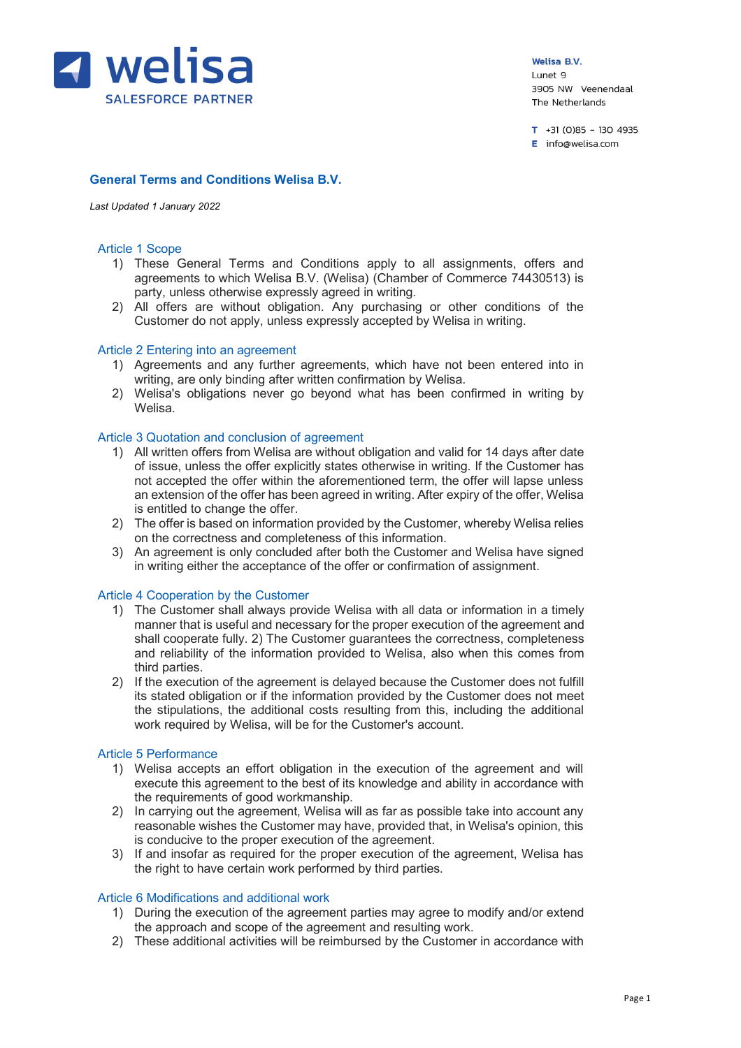

 $T + 31(0)85 - 1304935$ E info@welisa.com

# **General Terms and Conditions Welisa B.V.**

#### *Last Updated 1 January 2022*

#### Article 1 Scope

- 1) These General Terms and Conditions apply to all assignments, offers and agreements to which Welisa B.V. (Welisa) (Chamber of Commerce 74430513) is party, unless otherwise expressly agreed in writing.
- 2) All offers are without obligation. Any purchasing or other conditions of the Customer do not apply, unless expressly accepted by Welisa in writing.

#### Article 2 Entering into an agreement

- 1) Agreements and any further agreements, which have not been entered into in writing, are only binding after written confirmation by Welisa.
- 2) Welisa's obligations never go beyond what has been confirmed in writing by Welisa.

#### Article 3 Quotation and conclusion of agreement

- 1) All written offers from Welisa are without obligation and valid for 14 days after date of issue, unless the offer explicitly states otherwise in writing. If the Customer has not accepted the offer within the aforementioned term, the offer will lapse unless an extension of the offer has been agreed in writing. After expiry of the offer, Welisa is entitled to change the offer.
- 2) The offer is based on information provided by the Customer, whereby Welisa relies on the correctness and completeness of this information.
- 3) An agreement is only concluded after both the Customer and Welisa have signed in writing either the acceptance of the offer or confirmation of assignment.

### Article 4 Cooperation by the Customer

- 1) The Customer shall always provide Welisa with all data or information in a timely manner that is useful and necessary for the proper execution of the agreement and shall cooperate fully. 2) The Customer guarantees the correctness, completeness and reliability of the information provided to Welisa, also when this comes from third parties.
- 2) If the execution of the agreement is delayed because the Customer does not fulfill its stated obligation or if the information provided by the Customer does not meet the stipulations, the additional costs resulting from this, including the additional work required by Welisa, will be for the Customer's account.

#### Article 5 Performance

- 1) Welisa accepts an effort obligation in the execution of the agreement and will execute this agreement to the best of its knowledge and ability in accordance with the requirements of good workmanship.
- 2) In carrying out the agreement, Welisa will as far as possible take into account any reasonable wishes the Customer may have, provided that, in Welisa's opinion, this is conducive to the proper execution of the agreement.
- 3) If and insofar as required for the proper execution of the agreement, Welisa has the right to have certain work performed by third parties.

### Article 6 Modifications and additional work

- 1) During the execution of the agreement parties may agree to modify and/or extend the approach and scope of the agreement and resulting work.
- 2) These additional activities will be reimbursed by the Customer in accordance with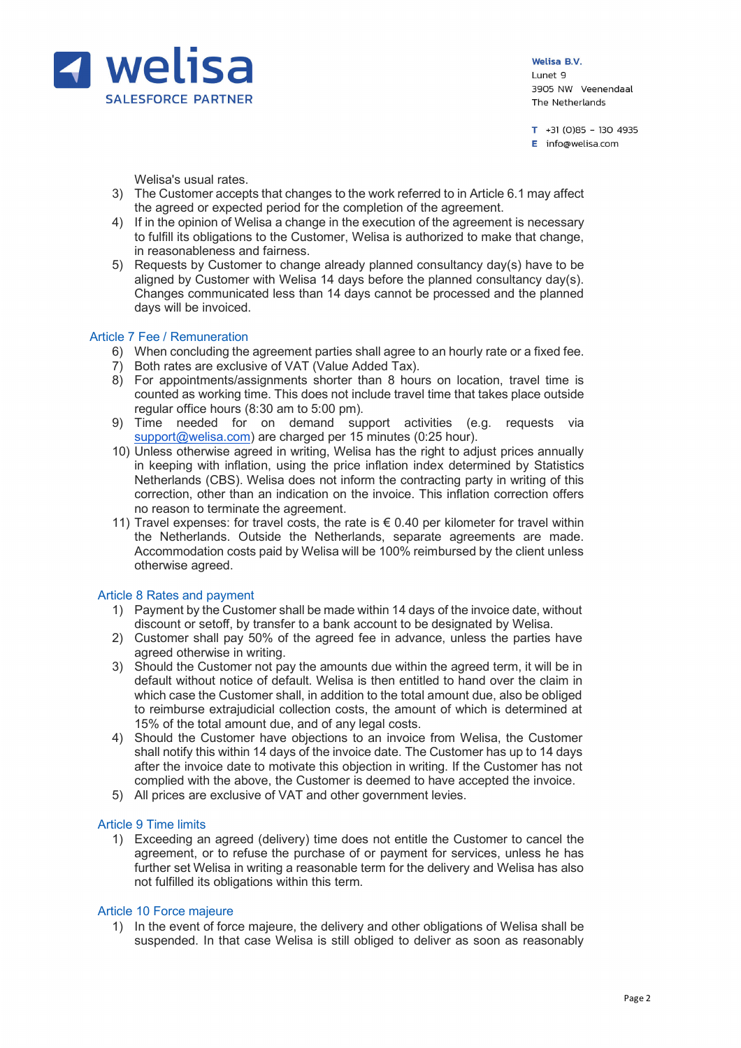

 $T + 31(0)85 - 1304935$  $E$  info@welisa.com

Welisa's usual rates.

- 3) The Customer accepts that changes to the work referred to in Article 6.1 may affect the agreed or expected period for the completion of the agreement.
- 4) If in the opinion of Welisa a change in the execution of the agreement is necessary to fulfill its obligations to the Customer, Welisa is authorized to make that change, in reasonableness and fairness.
- 5) Requests by Customer to change already planned consultancy day(s) have to be aligned by Customer with Welisa 14 days before the planned consultancy day(s). Changes communicated less than 14 days cannot be processed and the planned days will be invoiced.

## Article 7 Fee / Remuneration

- 6) When concluding the agreement parties shall agree to an hourly rate or a fixed fee.
- 7) Both rates are exclusive of VAT (Value Added Tax).
- 8) For appointments/assignments shorter than 8 hours on location, travel time is counted as working time. This does not include travel time that takes place outside regular office hours (8:30 am to 5:00 pm).
- 9) Time needed for on demand support activities (e.g. requests via support@welisa.com) are charged per 15 minutes (0:25 hour).
- 10) Unless otherwise agreed in writing, Welisa has the right to adjust prices annually in keeping with inflation, using the price inflation index determined by Statistics Netherlands (CBS). Welisa does not inform the contracting party in writing of this correction, other than an indication on the invoice. This inflation correction offers no reason to terminate the agreement.
- 11) Travel expenses: for travel costs, the rate is  $\epsilon$  0.40 per kilometer for travel within the Netherlands. Outside the Netherlands, separate agreements are made. Accommodation costs paid by Welisa will be 100% reimbursed by the client unless otherwise agreed.

### Article 8 Rates and payment

- 1) Payment by the Customer shall be made within 14 days of the invoice date, without discount or setoff, by transfer to a bank account to be designated by Welisa.
- 2) Customer shall pay 50% of the agreed fee in advance, unless the parties have agreed otherwise in writing.
- 3) Should the Customer not pay the amounts due within the agreed term, it will be in default without notice of default. Welisa is then entitled to hand over the claim in which case the Customer shall, in addition to the total amount due, also be obliged to reimburse extrajudicial collection costs, the amount of which is determined at 15% of the total amount due, and of any legal costs.
- 4) Should the Customer have objections to an invoice from Welisa, the Customer shall notify this within 14 days of the invoice date. The Customer has up to 14 days after the invoice date to motivate this objection in writing. If the Customer has not complied with the above, the Customer is deemed to have accepted the invoice.
- 5) All prices are exclusive of VAT and other government levies.

### Article 9 Time limits

1) Exceeding an agreed (delivery) time does not entitle the Customer to cancel the agreement, or to refuse the purchase of or payment for services, unless he has further set Welisa in writing a reasonable term for the delivery and Welisa has also not fulfilled its obligations within this term.

### Article 10 Force majeure

1) In the event of force majeure, the delivery and other obligations of Welisa shall be suspended. In that case Welisa is still obliged to deliver as soon as reasonably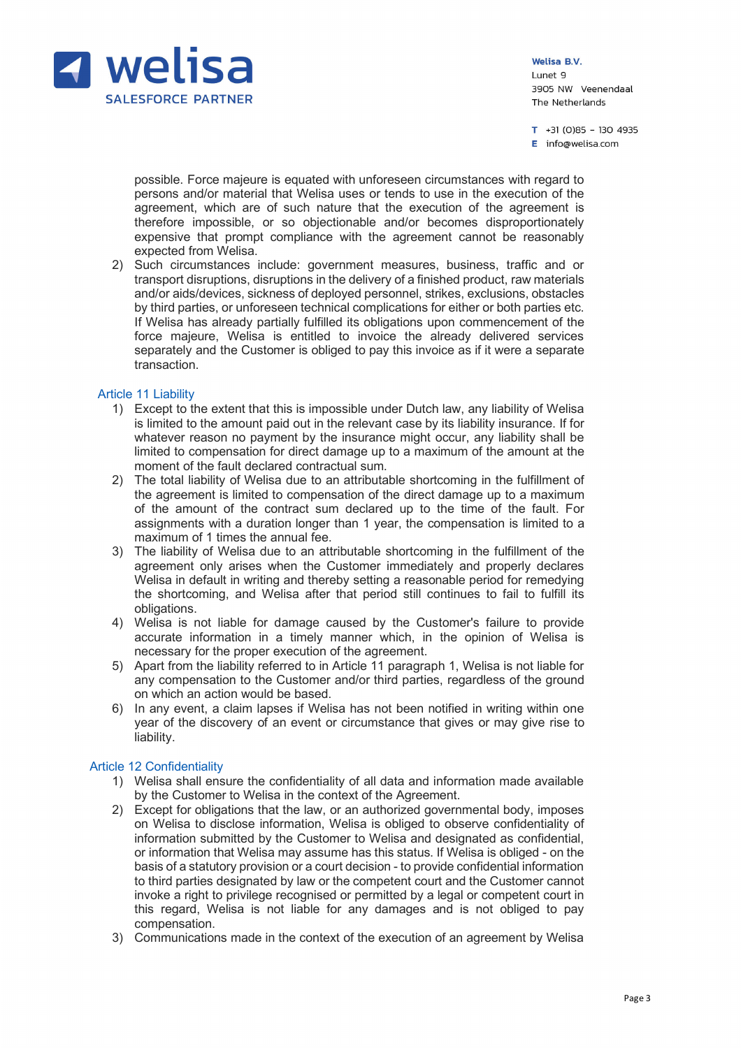

 $T + 31(0)85 - 1304935$  $E$  info@welisa.com

possible. Force majeure is equated with unforeseen circumstances with regard to persons and/or material that Welisa uses or tends to use in the execution of the agreement, which are of such nature that the execution of the agreement is therefore impossible, or so objectionable and/or becomes disproportionately expensive that prompt compliance with the agreement cannot be reasonably expected from Welisa.

2) Such circumstances include: government measures, business, traffic and or transport disruptions, disruptions in the delivery of a finished product, raw materials and/or aids/devices, sickness of deployed personnel, strikes, exclusions, obstacles by third parties, or unforeseen technical complications for either or both parties etc. If Welisa has already partially fulfilled its obligations upon commencement of the force majeure, Welisa is entitled to invoice the already delivered services separately and the Customer is obliged to pay this invoice as if it were a separate transaction.

### Article 11 Liability

- 1) Except to the extent that this is impossible under Dutch law, any liability of Welisa is limited to the amount paid out in the relevant case by its liability insurance. If for whatever reason no payment by the insurance might occur, any liability shall be limited to compensation for direct damage up to a maximum of the amount at the moment of the fault declared contractual sum.
- 2) The total liability of Welisa due to an attributable shortcoming in the fulfillment of the agreement is limited to compensation of the direct damage up to a maximum of the amount of the contract sum declared up to the time of the fault. For assignments with a duration longer than 1 year, the compensation is limited to a maximum of 1 times the annual fee.
- 3) The liability of Welisa due to an attributable shortcoming in the fulfillment of the agreement only arises when the Customer immediately and properly declares Welisa in default in writing and thereby setting a reasonable period for remedying the shortcoming, and Welisa after that period still continues to fail to fulfill its obligations.
- 4) Welisa is not liable for damage caused by the Customer's failure to provide accurate information in a timely manner which, in the opinion of Welisa is necessary for the proper execution of the agreement.
- 5) Apart from the liability referred to in Article 11 paragraph 1, Welisa is not liable for any compensation to the Customer and/or third parties, regardless of the ground on which an action would be based.
- 6) In any event, a claim lapses if Welisa has not been notified in writing within one year of the discovery of an event or circumstance that gives or may give rise to liability.

### Article 12 Confidentiality

- 1) Welisa shall ensure the confidentiality of all data and information made available by the Customer to Welisa in the context of the Agreement.
- 2) Except for obligations that the law, or an authorized governmental body, imposes on Welisa to disclose information, Welisa is obliged to observe confidentiality of information submitted by the Customer to Welisa and designated as confidential, or information that Welisa may assume has this status. If Welisa is obliged - on the basis of a statutory provision or a court decision - to provide confidential information to third parties designated by law or the competent court and the Customer cannot invoke a right to privilege recognised or permitted by a legal or competent court in this regard, Welisa is not liable for any damages and is not obliged to pay compensation.
- 3) Communications made in the context of the execution of an agreement by Welisa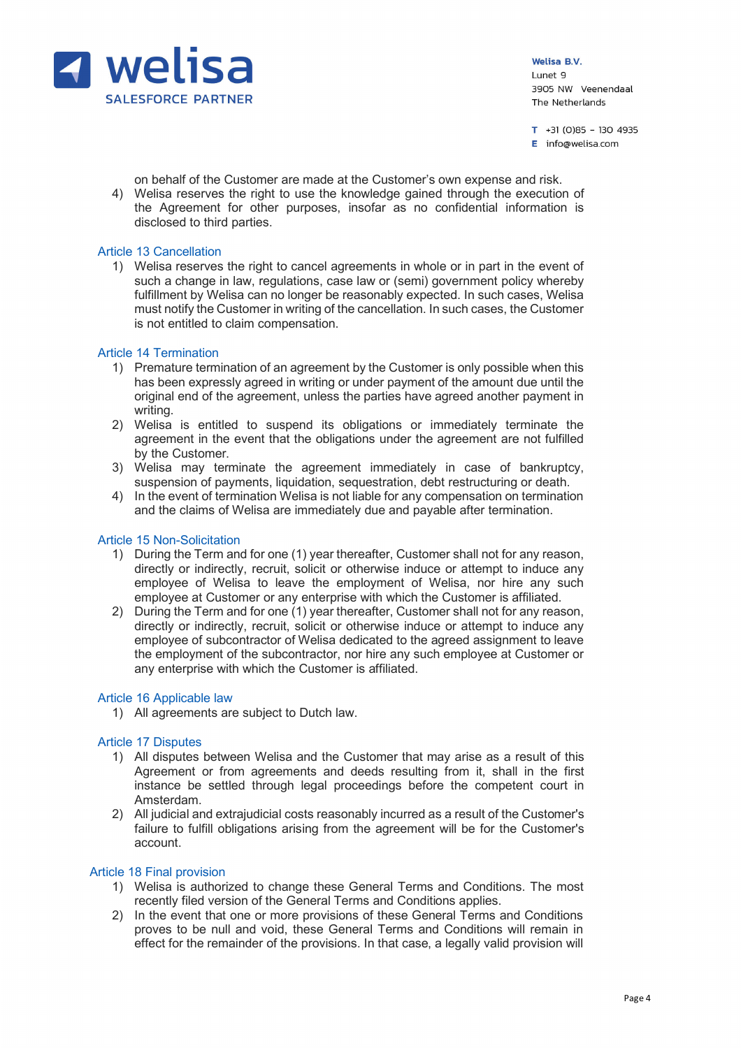

 $T + 31(0)85 - 1304935$  $E$  info@welisa.com

on behalf of the Customer are made at the Customer's own expense and risk.

4) Welisa reserves the right to use the knowledge gained through the execution of the Agreement for other purposes, insofar as no confidential information is disclosed to third parties.

## Article 13 Cancellation

1) Welisa reserves the right to cancel agreements in whole or in part in the event of such a change in law, regulations, case law or (semi) government policy whereby fulfillment by Welisa can no longer be reasonably expected. In such cases, Welisa must notify the Customer in writing of the cancellation. In such cases, the Customer is not entitled to claim compensation.

## Article 14 Termination

- 1) Premature termination of an agreement by the Customer is only possible when this has been expressly agreed in writing or under payment of the amount due until the original end of the agreement, unless the parties have agreed another payment in writing.
- 2) Welisa is entitled to suspend its obligations or immediately terminate the agreement in the event that the obligations under the agreement are not fulfilled by the Customer.
- 3) Welisa may terminate the agreement immediately in case of bankruptcy, suspension of payments, liquidation, sequestration, debt restructuring or death.
- 4) In the event of termination Welisa is not liable for any compensation on termination and the claims of Welisa are immediately due and payable after termination.

### Article 15 Non-Solicitation

- 1) During the Term and for one (1) year thereafter, Customer shall not for any reason, directly or indirectly, recruit, solicit or otherwise induce or attempt to induce any employee of Welisa to leave the employment of Welisa, nor hire any such employee at Customer or any enterprise with which the Customer is affiliated.
- 2) During the Term and for one (1) year thereafter, Customer shall not for any reason, directly or indirectly, recruit, solicit or otherwise induce or attempt to induce any employee of subcontractor of Welisa dedicated to the agreed assignment to leave the employment of the subcontractor, nor hire any such employee at Customer or any enterprise with which the Customer is affiliated.

### Article 16 Applicable law

1) All agreements are subject to Dutch law.

### Article 17 Disputes

- 1) All disputes between Welisa and the Customer that may arise as a result of this Agreement or from agreements and deeds resulting from it, shall in the first instance be settled through legal proceedings before the competent court in Amsterdam.
- 2) All judicial and extrajudicial costs reasonably incurred as a result of the Customer's failure to fulfill obligations arising from the agreement will be for the Customer's account.

### Article 18 Final provision

- 1) Welisa is authorized to change these General Terms and Conditions. The most recently filed version of the General Terms and Conditions applies.
- 2) In the event that one or more provisions of these General Terms and Conditions proves to be null and void, these General Terms and Conditions will remain in effect for the remainder of the provisions. In that case, a legally valid provision will